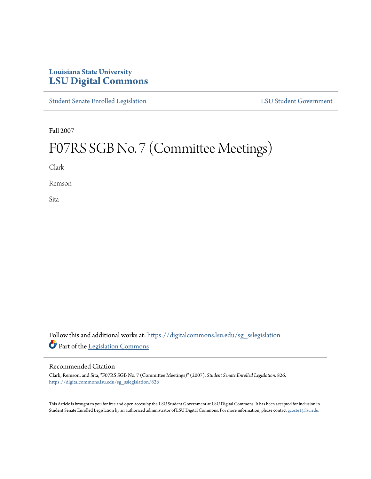# **Louisiana State University [LSU Digital Commons](https://digitalcommons.lsu.edu?utm_source=digitalcommons.lsu.edu%2Fsg_sslegislation%2F826&utm_medium=PDF&utm_campaign=PDFCoverPages)**

[Student Senate Enrolled Legislation](https://digitalcommons.lsu.edu/sg_sslegislation?utm_source=digitalcommons.lsu.edu%2Fsg_sslegislation%2F826&utm_medium=PDF&utm_campaign=PDFCoverPages) [LSU Student Government](https://digitalcommons.lsu.edu/sg?utm_source=digitalcommons.lsu.edu%2Fsg_sslegislation%2F826&utm_medium=PDF&utm_campaign=PDFCoverPages)

Fall 2007

# F07RS SGB No. 7 (Committee Meetings)

Clark

Remson

Sita

Follow this and additional works at: [https://digitalcommons.lsu.edu/sg\\_sslegislation](https://digitalcommons.lsu.edu/sg_sslegislation?utm_source=digitalcommons.lsu.edu%2Fsg_sslegislation%2F826&utm_medium=PDF&utm_campaign=PDFCoverPages) Part of the [Legislation Commons](http://network.bepress.com/hgg/discipline/859?utm_source=digitalcommons.lsu.edu%2Fsg_sslegislation%2F826&utm_medium=PDF&utm_campaign=PDFCoverPages)

#### Recommended Citation

Clark, Remson, and Sita, "F07RS SGB No. 7 (Committee Meetings)" (2007). *Student Senate Enrolled Legislation*. 826. [https://digitalcommons.lsu.edu/sg\\_sslegislation/826](https://digitalcommons.lsu.edu/sg_sslegislation/826?utm_source=digitalcommons.lsu.edu%2Fsg_sslegislation%2F826&utm_medium=PDF&utm_campaign=PDFCoverPages)

This Article is brought to you for free and open access by the LSU Student Government at LSU Digital Commons. It has been accepted for inclusion in Student Senate Enrolled Legislation by an authorized administrator of LSU Digital Commons. For more information, please contact [gcoste1@lsu.edu.](mailto:gcoste1@lsu.edu)